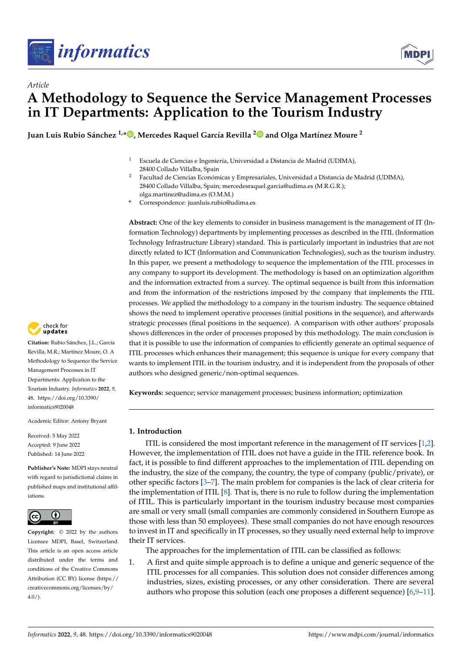



# *Article* **A Methodology to Sequence the Service Management Processes in IT Departments: Application to the Tourism Industry**

**Juan Luis Rubio Sánchez 1,[\\*](https://orcid.org/0000-0003-2762-6428) , Mercedes Raquel García Revilla [2](https://orcid.org/0000-0002-4070-5203) and Olga Martínez Moure <sup>2</sup>**

- <sup>1</sup> Escuela de Ciencias e Ingeniería, Universidad a Distancia de Madrid (UDIMA), 28400 Collado Villalba, Spain
- <sup>2</sup> Facultad de Ciencias Económicas y Empresariales, Universidad a Distancia de Madrid (UDIMA), 28400 Collado Villalba, Spain; mercedesraquel.garcia@udima.es (M.R.G.R.); olga.martinez@udima.es (O.M.M.)
- **\*** Correspondence: juanluis.rubio@udima.es

**Abstract:** One of the key elements to consider in business management is the management of IT (Information Technology) departments by implementing processes as described in the ITIL (Information Technology Infrastructure Library) standard. This is particularly important in industries that are not directly related to ICT (Information and Communication Technologies), such as the tourism industry. In this paper, we present a methodology to sequence the implementation of the ITIL processes in any company to support its development. The methodology is based on an optimization algorithm and the information extracted from a survey. The optimal sequence is built from this information and from the information of the restrictions imposed by the company that implements the ITIL processes. We applied the methodology to a company in the tourism industry. The sequence obtained shows the need to implement operative processes (initial positions in the sequence), and afterwards strategic processes (final positions in the sequence). A comparison with other authors' proposals shows differences in the order of processes proposed by this methodology. The main conclusion is that it is possible to use the information of companies to efficiently generate an optimal sequence of ITIL processes which enhances their management; this sequence is unique for every company that wants to implement ITIL in the tourism industry, and it is independent from the proposals of other authors who designed generic/non-optimal sequences.

**Keywords:** sequence; service management processes; business information; optimization

# **1. Introduction**

ITIL is considered the most important reference in the management of IT services [\[1](#page-15-0)[,2\]](#page-15-1). However, the implementation of ITIL does not have a guide in the ITIL reference book. In fact, it is possible to find different approaches to the implementation of ITIL depending on the industry, the size of the company, the country, the type of company (public/private), or other specific factors [\[3–](#page-15-2)[7\]](#page-15-3). The main problem for companies is the lack of clear criteria for the implementation of ITIL [\[8\]](#page-15-4). That is, there is no rule to follow during the implementation of ITIL. This is particularly important in the tourism industry because most companies are small or very small (small companies are commonly considered in Southern Europe as those with less than 50 employees). These small companies do not have enough resources to invest in IT and specifically in IT processes, so they usually need external help to improve their IT services.

The approaches for the implementation of ITIL can be classified as follows:

1. A first and quite simple approach is to define a unique and generic sequence of the ITIL processes for all companies. This solution does not consider differences among industries, sizes, existing processes, or any other consideration. There are several authors who propose this solution (each one proposes a different sequence) [\[6,](#page-15-5)[9](#page-15-6)[–11\]](#page-15-7).



**Citation:** Rubio Sánchez, J.L.; García Revilla, M.R.; Martínez Moure, O. A Methodology to Sequence the Service Management Processes in IT Departments: Application to the Tourism Industry. *Informatics* **2022**, *9*, 48. [https://doi.org/10.3390/](https://doi.org/10.3390/informatics9020048) [informatics9020048](https://doi.org/10.3390/informatics9020048)

Academic Editor: Antony Bryant

Received: 5 May 2022 Accepted: 9 June 2022 Published: 14 June 2022

**Publisher's Note:** MDPI stays neutral with regard to jurisdictional claims in published maps and institutional affiliations.



**Copyright:** © 2022 by the authors. Licensee MDPI, Basel, Switzerland. This article is an open access article distributed under the terms and conditions of the Creative Commons Attribution (CC BY) license [\(https://](https://creativecommons.org/licenses/by/4.0/) [creativecommons.org/licenses/by/](https://creativecommons.org/licenses/by/4.0/)  $4.0/$ ).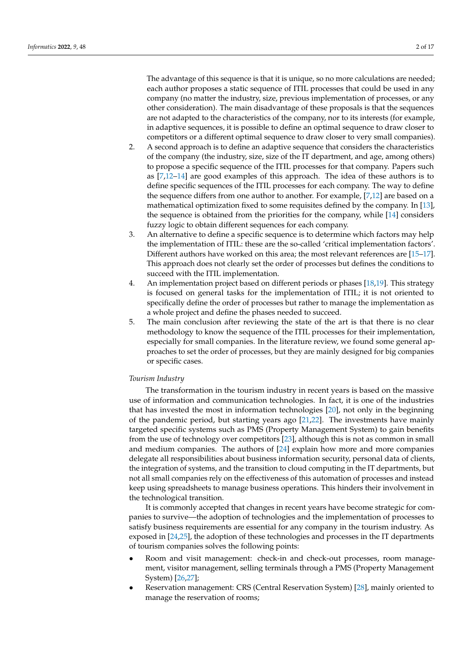The advantage of this sequence is that it is unique, so no more calculations are needed; each author proposes a static sequence of ITIL processes that could be used in any company (no matter the industry, size, previous implementation of processes, or any other consideration). The main disadvantage of these proposals is that the sequences are not adapted to the characteristics of the company, nor to its interests (for example, in adaptive sequences, it is possible to define an optimal sequence to draw closer to competitors or a different optimal sequence to draw closer to very small companies).

- 2. A second approach is to define an adaptive sequence that considers the characteristics of the company (the industry, size, size of the IT department, and age, among others) to propose a specific sequence of the ITIL processes for that company. Papers such as  $[7,12-14]$  $[7,12-14]$  $[7,12-14]$  are good examples of this approach. The idea of these authors is to define specific sequences of the ITIL processes for each company. The way to define the sequence differs from one author to another. For example, [\[7](#page-15-3)[,12\]](#page-16-0) are based on a mathematical optimization fixed to some requisites defined by the company. In [\[13\]](#page-16-2), the sequence is obtained from the priorities for the company, while [\[14\]](#page-16-1) considers fuzzy logic to obtain different sequences for each company.
- 3. An alternative to define a specific sequence is to determine which factors may help the implementation of ITIL: these are the so-called 'critical implementation factors'. Different authors have worked on this area; the most relevant references are [\[15](#page-16-3)[–17\]](#page-16-4). This approach does not clearly set the order of processes but defines the conditions to succeed with the ITIL implementation.
- 4. An implementation project based on different periods or phases [\[18,](#page-16-5)[19\]](#page-16-6). This strategy is focused on general tasks for the implementation of ITIL; it is not oriented to specifically define the order of processes but rather to manage the implementation as a whole project and define the phases needed to succeed.
- 5. The main conclusion after reviewing the state of the art is that there is no clear methodology to know the sequence of the ITIL processes for their implementation, especially for small companies. In the literature review, we found some general approaches to set the order of processes, but they are mainly designed for big companies or specific cases.

# *Tourism Industry*

The transformation in the tourism industry in recent years is based on the massive use of information and communication technologies. In fact, it is one of the industries that has invested the most in information technologies [\[20\]](#page-16-7), not only in the beginning of the pandemic period, but starting years ago [\[21,](#page-16-8)[22\]](#page-16-9). The investments have mainly targeted specific systems such as PMS (Property Management System) to gain benefits from the use of technology over competitors [\[23\]](#page-16-10), although this is not as common in small and medium companies. The authors of [\[24\]](#page-16-11) explain how more and more companies delegate all responsibilities about business information security, personal data of clients, the integration of systems, and the transition to cloud computing in the IT departments, but not all small companies rely on the effectiveness of this automation of processes and instead keep using spreadsheets to manage business operations. This hinders their involvement in the technological transition.

It is commonly accepted that changes in recent years have become strategic for companies to survive—the adoption of technologies and the implementation of processes to satisfy business requirements are essential for any company in the tourism industry. As exposed in [\[24](#page-16-11)[,25\]](#page-16-12), the adoption of these technologies and processes in the IT departments of tourism companies solves the following points:

- Room and visit management: check-in and check-out processes, room management, visitor management, selling terminals through a PMS (Property Management System) [\[26](#page-16-13)[,27\]](#page-16-14);
- Reservation management: CRS (Central Reservation System) [\[28\]](#page-16-15), mainly oriented to manage the reservation of rooms;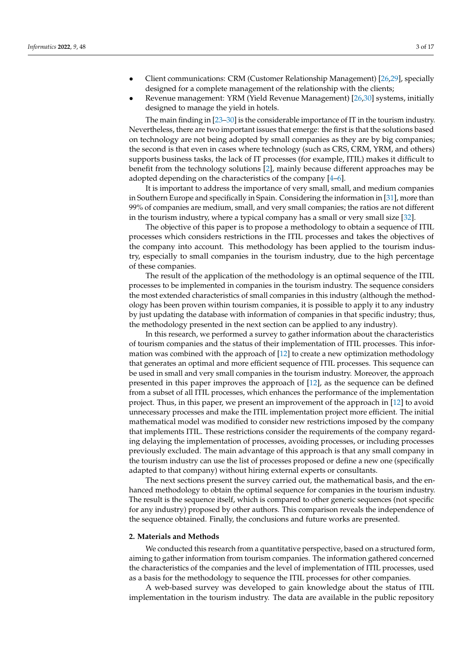- Client communications: CRM (Customer Relationship Management) [\[26](#page-16-13)[,29\]](#page-16-16), specially designed for a complete management of the relationship with the clients;
- Revenue management: YRM (Yield Revenue Management) [\[26](#page-16-13)[,30\]](#page-16-17) systems, initially designed to manage the yield in hotels.

The main finding in [\[23–](#page-16-10)[30\]](#page-16-17) is the considerable importance of IT in the tourism industry. Nevertheless, there are two important issues that emerge: the first is that the solutions based on technology are not being adopted by small companies as they are by big companies; the second is that even in cases where technology (such as CRS, CRM, YRM, and others) supports business tasks, the lack of IT processes (for example, ITIL) makes it difficult to benefit from the technology solutions [\[2\]](#page-15-1), mainly because different approaches may be adopted depending on the characteristics of the company [\[4](#page-15-8)[–6\]](#page-15-5).

It is important to address the importance of very small, small, and medium companies in Southern Europe and specifically in Spain. Considering the information in [\[31\]](#page-16-18), more than 99% of companies are medium, small, and very small companies; the ratios are not different in the tourism industry, where a typical company has a small or very small size [\[32\]](#page-16-19).

The objective of this paper is to propose a methodology to obtain a sequence of ITIL processes which considers restrictions in the ITIL processes and takes the objectives of the company into account. This methodology has been applied to the tourism industry, especially to small companies in the tourism industry, due to the high percentage of these companies.

The result of the application of the methodology is an optimal sequence of the ITIL processes to be implemented in companies in the tourism industry. The sequence considers the most extended characteristics of small companies in this industry (although the methodology has been proven within tourism companies, it is possible to apply it to any industry by just updating the database with information of companies in that specific industry; thus, the methodology presented in the next section can be applied to any industry).

In this research, we performed a survey to gather information about the characteristics of tourism companies and the status of their implementation of ITIL processes. This information was combined with the approach of [\[12\]](#page-16-0) to create a new optimization methodology that generates an optimal and more efficient sequence of ITIL processes. This sequence can be used in small and very small companies in the tourism industry. Moreover, the approach presented in this paper improves the approach of [\[12\]](#page-16-0), as the sequence can be defined from a subset of all ITIL processes, which enhances the performance of the implementation project. Thus, in this paper, we present an improvement of the approach in [\[12\]](#page-16-0) to avoid unnecessary processes and make the ITIL implementation project more efficient. The initial mathematical model was modified to consider new restrictions imposed by the company that implements ITIL. These restrictions consider the requirements of the company regarding delaying the implementation of processes, avoiding processes, or including processes previously excluded. The main advantage of this approach is that any small company in the tourism industry can use the list of processes proposed or define a new one (specifically adapted to that company) without hiring external experts or consultants.

The next sections present the survey carried out, the mathematical basis, and the enhanced methodology to obtain the optimal sequence for companies in the tourism industry. The result is the sequence itself, which is compared to other generic sequences (not specific for any industry) proposed by other authors. This comparison reveals the independence of the sequence obtained. Finally, the conclusions and future works are presented.

#### **2. Materials and Methods**

We conducted this research from a quantitative perspective, based on a structured form, aiming to gather information from tourism companies. The information gathered concerned the characteristics of the companies and the level of implementation of ITIL processes, used as a basis for the methodology to sequence the ITIL processes for other companies.

A web-based survey was developed to gain knowledge about the status of ITIL implementation in the tourism industry. The data are available in the public repository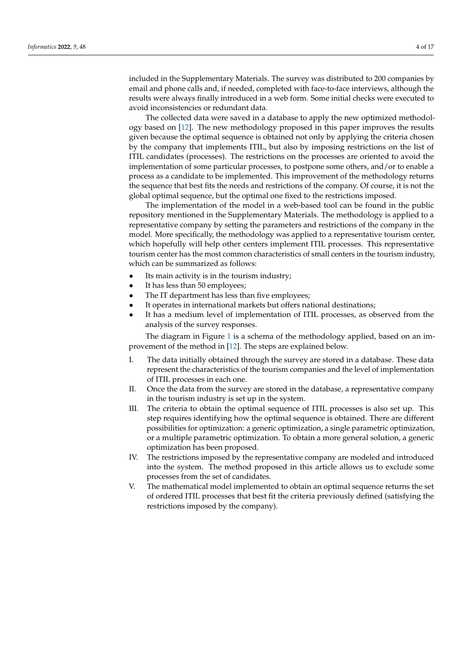included in the Supplementary Materials. The survey was distributed to 200 companies by email and phone calls and, if needed, completed with face-to-face interviews, although the results were always finally introduced in a web form. Some initial checks were executed to avoid inconsistencies or redundant data.

The collected data were saved in a database to apply the new optimized methodology based on [\[12\]](#page-16-0). The new methodology proposed in this paper improves the results given because the optimal sequence is obtained not only by applying the criteria chosen by the company that implements ITIL, but also by imposing restrictions on the list of ITIL candidates (processes). The restrictions on the processes are oriented to avoid the implementation of some particular processes, to postpone some others, and/or to enable a process as a candidate to be implemented. This improvement of the methodology returns the sequence that best fits the needs and restrictions of the company. Of course, it is not the global optimal sequence, but the optimal one fixed to the restrictions imposed.

The implementation of the model in a web-based tool can be found in the public repository mentioned in the Supplementary Materials. The methodology is applied to a representative company by setting the parameters and restrictions of the company in the model. More specifically, the methodology was applied to a representative tourism center, which hopefully will help other centers implement ITIL processes. This representative tourism center has the most common characteristics of small centers in the tourism industry, which can be summarized as follows:

- Its main activity is in the tourism industry;
- It has less than 50 employees;
- The IT department has less than five employees;
- It operates in international markets but offers national destinations;
- It has a medium level of implementation of ITIL processes, as observed from the analysis of the survey responses.

The diagram in Figure [1](#page-4-0) is a schema of the methodology applied, based on an improvement of the method in [\[12\]](#page-16-0). The steps are explained below.

- I. The data initially obtained through the survey are stored in a database. These data represent the characteristics of the tourism companies and the level of implementation of ITIL processes in each one.
- II. Once the data from the survey are stored in the database, a representative company in the tourism industry is set up in the system.
- III. The criteria to obtain the optimal sequence of ITIL processes is also set up. This step requires identifying how the optimal sequence is obtained. There are different possibilities for optimization: a generic optimization, a single parametric optimization, or a multiple parametric optimization. To obtain a more general solution, a generic optimization has been proposed.
- IV. The restrictions imposed by the representative company are modeled and introduced into the system. The method proposed in this article allows us to exclude some processes from the set of candidates.
- V. The mathematical model implemented to obtain an optimal sequence returns the set of ordered ITIL processes that best fit the criteria previously defined (satisfying the restrictions imposed by the company).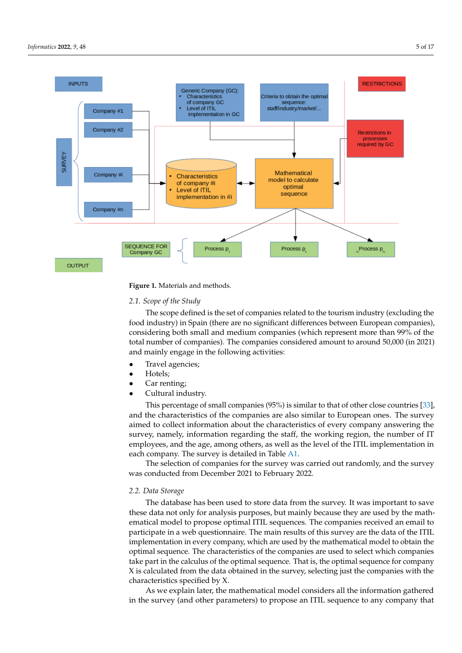<span id="page-4-0"></span>

**Figure 1.** Materials and methods.

## *2.1. Scope of the Study*

The scope defined is the set of companies related to the tourism industry (excluding the food industry) in Spain (there are no significant differences between European companies), considering both small and medium companies (which represent more than 99% of the total number of companies). The companies considered amount to around 50,000 (in 2021) and mainly engage in the following activities:

- Travel agencies;
- Hotels;
- Car renting;
- Cultural industry.

This percentage of small companies (95%) is similar to that of other close countries [\[33\]](#page-16-20), and the characteristics of the companies are also similar to European ones. The survey aimed to collect information about the characteristics of every company answering the survey, namely, information regarding the staff, the working region, the number of IT employees, and the age, among others, as well as the level of the ITIL implementation in each company. The survey is detailed in Table [A1.](#page-13-0)

The selection of companies for the survey was carried out randomly, and the survey was conducted from December 2021 to February 2022.

#### *2.2. Data Storage*

The database has been used to store data from the survey. It was important to save these data not only for analysis purposes, but mainly because they are used by the mathematical model to propose optimal ITIL sequences. The companies received an email to participate in a web questionnaire. The main results of this survey are the data of the ITIL implementation in every company, which are used by the mathematical model to obtain the optimal sequence. The characteristics of the companies are used to select which companies take part in the calculus of the optimal sequence. That is, the optimal sequence for company X is calculated from the data obtained in the survey, selecting just the companies with the characteristics specified by X.

As we explain later, the mathematical model considers all the information gathered in the survey (and other parameters) to propose an ITIL sequence to any company that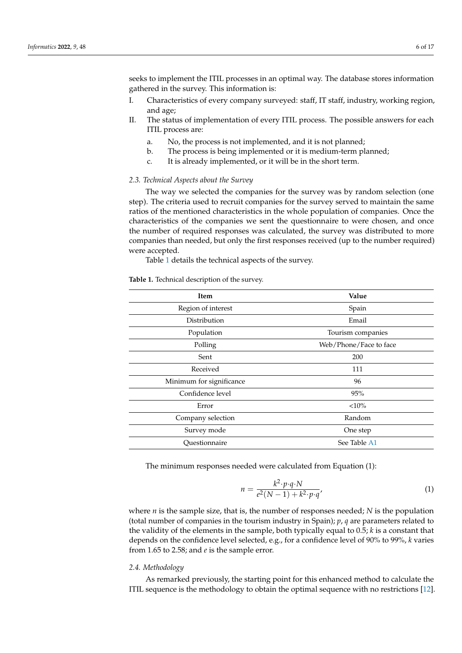seeks to implement the ITIL processes in an optimal way. The database stores information gathered in the survey. This information is:

- I. Characteristics of every company surveyed: staff, IT staff, industry, working region, and age;
- II. The status of implementation of every ITIL process. The possible answers for each ITIL process are:
	- a. No, the process is not implemented, and it is not planned;
	- b. The process is being implemented or it is medium-term planned;
	- c. It is already implemented, or it will be in the short term.

#### *2.3. Technical Aspects about the Survey*

The way we selected the companies for the survey was by random selection (one step). The criteria used to recruit companies for the survey served to maintain the same ratios of the mentioned characteristics in the whole population of companies. Once the characteristics of the companies we sent the questionnaire to were chosen, and once the number of required responses was calculated, the survey was distributed to more companies than needed, but only the first responses received (up to the number required) were accepted.

Table [1](#page-5-0) details the technical aspects of the survey.

<span id="page-5-0"></span>**Table 1.** Technical description of the survey.

| Item                     | Value                  |  |
|--------------------------|------------------------|--|
| Region of interest       | Spain                  |  |
| Distribution             | Email                  |  |
| Population               | Tourism companies      |  |
| Polling                  | Web/Phone/Face to face |  |
| Sent                     | 200                    |  |
| Received                 | 111                    |  |
| Minimum for significance | 96                     |  |
| Confidence level         | 95%                    |  |
| Error                    | <10%                   |  |
| Company selection        | Random                 |  |
| Survey mode              | One step               |  |
| Questionnaire            | See Table A1           |  |
|                          |                        |  |

The minimum responses needed were calculated from Equation (1):

$$
n = \frac{k^2 \cdot p \cdot q \cdot N}{e^2(N-1) + k^2 \cdot p \cdot q'}
$$
\n<sup>(1)</sup>

where *n* is the sample size, that is, the number of responses needed; *N* is the population (total number of companies in the tourism industry in Spain); *p*, *q* are parameters related to the validity of the elements in the sample, both typically equal to 0.5; *k* is a constant that depends on the confidence level selected, e.g., for a confidence level of 90% to 99%, *k* varies from 1.65 to 2.58; and *e* is the sample error.

#### *2.4. Methodology*

As remarked previously, the starting point for this enhanced method to calculate the ITIL sequence is the methodology to obtain the optimal sequence with no restrictions [\[12\]](#page-16-0).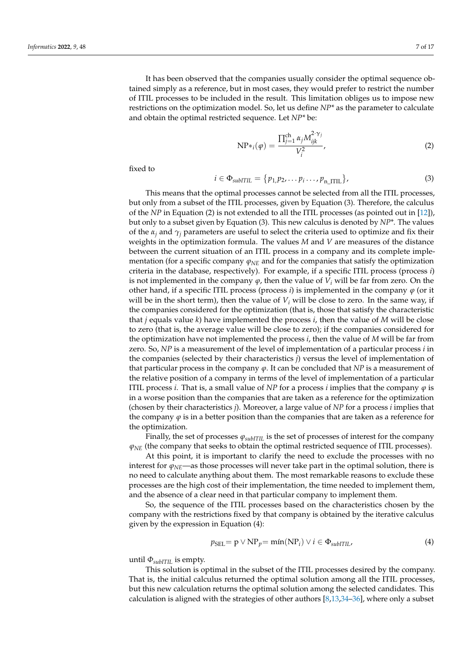It has been observed that the companies usually consider the optimal sequence obtained simply as a reference, but in most cases, they would prefer to restrict the number of ITIL processes to be included in the result. This limitation obliges us to impose new restrictions on the optimization model. So, let us define *NP\** as the parameter to calculate and obtain the optimal restricted sequence. Let *NP\** be:

$$
NP*_i(\varphi) = \frac{\prod_{j=1}^{ch} \alpha_j M_{ijk}^{2 \cdot \gamma_j}}{V_i^2},\tag{2}
$$

fixed to

$$
i \in \Phi_{\text{subITIL}} = \{p_1, p_2, \dots p_i \dots, p_{n\_ITIL}\},\tag{3}
$$

This means that the optimal processes cannot be selected from all the ITIL processes, but only from a subset of the ITIL processes, given by Equation (3). Therefore, the calculus of the *NP* in Equation (2) is not extended to all the ITIL processes (as pointed out in [\[12\]](#page-16-0)), but only to a subset given by Equation (3). This new calculus is denoted by *NP\**. The values of the  $\alpha_i$  and  $\gamma_i$  parameters are useful to select the criteria used to optimize and fix their weights in the optimization formula. The values *M* and *V* are measures of the distance between the current situation of an ITIL process in a company and its complete implementation (for a specific company *ϕNE* and for the companies that satisfy the optimization criteria in the database, respectively). For example, if a specific ITIL process (process *i*) is not implemented in the company  $\varphi$ , then the value of  $V_i$  will be far from zero. On the other hand, if a specific ITIL process (process  $i$ ) is implemented in the company  $\varphi$  (or it will be in the short term), then the value of  $V_i$  will be close to zero. In the same way, if the companies considered for the optimization (that is, those that satisfy the characteristic that *j* equals value *k*) have implemented the process *i*, then the value of *M* will be close to zero (that is, the average value will be close to zero); if the companies considered for the optimization have not implemented the process *i*, then the value of *M* will be far from zero. So, *NP* is a measurement of the level of implementation of a particular process *i* in the companies (selected by their characteristics *j*) versus the level of implementation of that particular process in the company  $\varphi$ . It can be concluded that *NP* is a measurement of the relative position of a company in terms of the level of implementation of a particular ITIL process *i*. That is, a small value of *NP* for a process *i* implies that the company  $\varphi$  is in a worse position than the companies that are taken as a reference for the optimization (chosen by their characteristics *j*). Moreover, a large value of *NP* for a process *i* implies that the company  $\varphi$  is in a better position than the companies that are taken as a reference for the optimization.

Finally, the set of processes *ϕsubITIL* is the set of processes of interest for the company  $φ<sub>NE</sub>$  (the company that seeks to obtain the optimal restricted sequence of ITIL processes).

At this point, it is important to clarify the need to exclude the processes with no interest for  $\varphi_{NE}$ —as those processes will never take part in the optimal solution, there is no need to calculate anything about them. The most remarkable reasons to exclude these processes are the high cost of their implementation, the time needed to implement them, and the absence of a clear need in that particular company to implement them.

So, the sequence of the ITIL processes based on the characteristics chosen by the company with the restrictions fixed by that company is obtained by the iterative calculus given by the expression in Equation (4):

$$
p_{\text{SEL}} = \mathbf{p} \lor \text{NP}_p = \min(\text{NP}_i) \lor i \in \Phi_{\text{subITIL}},\tag{4}
$$

until  $\Phi_{subITIL}$  is empty.

This solution is optimal in the subset of the ITIL processes desired by the company. That is, the initial calculus returned the optimal solution among all the ITIL processes, but this new calculation returns the optimal solution among the selected candidates. This calculation is aligned with the strategies of other authors [\[8,](#page-15-4)[13](#page-16-2)[,34](#page-16-21)[–36\]](#page-16-22), where only a subset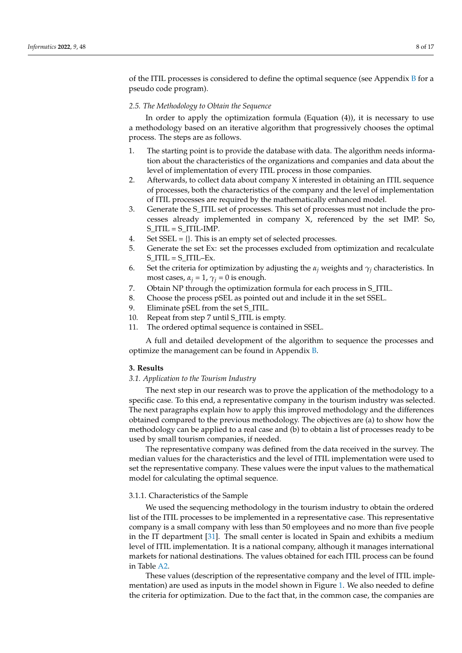of the ITIL processes is considered to define the optimal sequence (see Appendix  $\overline{B}$  $\overline{B}$  $\overline{B}$  for a pseudo code program).

## *2.5. The Methodology to Obtain the Sequence*

In order to apply the optimization formula (Equation (4)), it is necessary to use a methodology based on an iterative algorithm that progressively chooses the optimal process. The steps are as follows.

- 1. The starting point is to provide the database with data. The algorithm needs information about the characteristics of the organizations and companies and data about the level of implementation of every ITIL process in those companies.
- 2. Afterwards, to collect data about company X interested in obtaining an ITIL sequence of processes, both the characteristics of the company and the level of implementation of ITIL processes are required by the mathematically enhanced model.
- 3. Generate the S\_ITIL set of processes. This set of processes must not include the processes already implemented in company X, referenced by the set IMP. So, S\_ITIL = S\_ITIL-IMP.
- 4. Set  $SSEL = \{\}$ . This is an empty set of selected processes.
- 5. Generate the set Ex: set the processes excluded from optimization and recalculate S ITIL =  $S$  ITIL–Ex.
- 6. Set the criteria for optimization by adjusting the  $\alpha_i$  weights and  $\gamma_i$  characteristics. In most cases,  $\alpha_i = 1$ ,  $\gamma_i = 0$  is enough.
- 7. Obtain NP through the optimization formula for each process in S\_ITIL.
- 8. Choose the process pSEL as pointed out and include it in the set SSEL.
- 9. Eliminate pSEL from the set S\_ITIL.
- 10. Repeat from step 7 until S\_ITIL is empty.
- 11. The ordered optimal sequence is contained in SSEL.

A full and detailed development of the algorithm to sequence the processes and optimize the management can be found in Appendix [B.](#page-14-0)

# **3. Results**

*3.1. Application to the Tourism Industry*

The next step in our research was to prove the application of the methodology to a specific case. To this end, a representative company in the tourism industry was selected. The next paragraphs explain how to apply this improved methodology and the differences obtained compared to the previous methodology. The objectives are (a) to show how the methodology can be applied to a real case and (b) to obtain a list of processes ready to be used by small tourism companies, if needed.

The representative company was defined from the data received in the survey. The median values for the characteristics and the level of ITIL implementation were used to set the representative company. These values were the input values to the mathematical model for calculating the optimal sequence.

# 3.1.1. Characteristics of the Sample

We used the sequencing methodology in the tourism industry to obtain the ordered list of the ITIL processes to be implemented in a representative case. This representative company is a small company with less than 50 employees and no more than five people in the IT department [\[31\]](#page-16-18). The small center is located in Spain and exhibits a medium level of ITIL implementation. It is a national company, although it manages international markets for national destinations. The values obtained for each ITIL process can be found in Table [A2.](#page-13-1)

These values (description of the representative company and the level of ITIL implementation) are used as inputs in the model shown in Figure [1.](#page-4-0) We also needed to define the criteria for optimization. Due to the fact that, in the common case, the companies are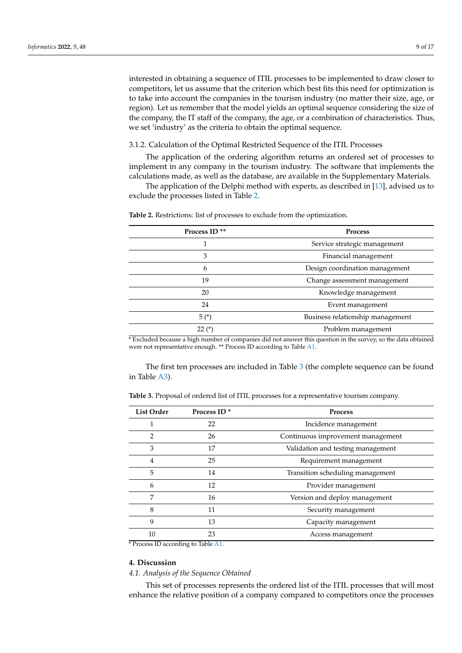interested in obtaining a sequence of ITIL processes to be implemented to draw closer to competitors, let us assume that the criterion which best fits this need for optimization is to take into account the companies in the tourism industry (no matter their size, age, or region). Let us remember that the model yields an optimal sequence considering the size of the company, the IT staff of the company, the age, or a combination of characteristics. Thus, we set 'industry' as the criteria to obtain the optimal sequence.

#### 3.1.2. Calculation of the Optimal Restricted Sequence of the ITIL Processes

The application of the ordering algorithm returns an ordered set of processes to implement in any company in the tourism industry. The software that implements the calculations made, as well as the database, are available in the Supplementary Materials.

The application of the Delphi method with experts, as described in [\[13\]](#page-16-2), advised us to exclude the processes listed in Table [2.](#page-8-0)

| <b>Process</b>                   |  |  |
|----------------------------------|--|--|
| Service strategic management     |  |  |
| Financial management             |  |  |
| Design coordination management   |  |  |
| Change assessment management     |  |  |
| Knowledge management             |  |  |
| Event management                 |  |  |
| Business relationship management |  |  |
| Problem management               |  |  |
|                                  |  |  |

<span id="page-8-0"></span>**Table 2.** Restrictions: list of processes to exclude from the optimization.

\* Excluded because a high number of companies did not answer this question in the survey, so the data obtained were not representative enough. \*\* Process ID according to Table [A1.](#page-13-0)

The first ten processes are included in Table [3](#page-8-1) (the complete sequence can be found in Table [A3\)](#page-13-2).

<span id="page-8-1"></span>**Table 3.** Proposal of ordered list of ITIL processes for a representative tourism company.

| <b>List Order</b> | Process ID <sup>*</sup> | <b>Process</b>                    |
|-------------------|-------------------------|-----------------------------------|
|                   | 22                      | Incidence management              |
| 2                 | 26                      | Continuous improvement management |
| 3                 | 17                      | Validation and testing management |
| 4                 | 25                      | Requirement management            |
| 5                 | 14                      | Transition scheduling management  |
| 6                 | 12                      | Provider management               |
| 7                 | 16                      | Version and deploy management     |
| 8                 | 11                      | Security management               |
| 9                 | 13                      | Capacity management               |
| 10                | 23                      | Access management                 |

\* Process ID according to Table [A1.](#page-13-0)

## **4. Discussion**

#### *4.1. Analysis of the Sequence Obtained*

This set of processes represents the ordered list of the ITIL processes that will most enhance the relative position of a company compared to competitors once the processes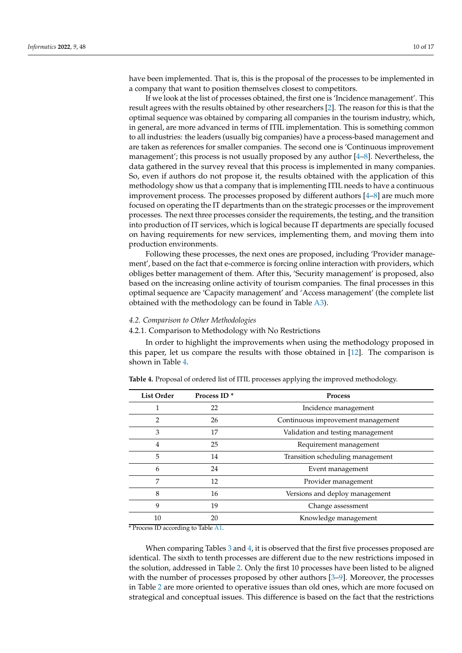have been implemented. That is, this is the proposal of the processes to be implemented in a company that want to position themselves closest to competitors.

If we look at the list of processes obtained, the first one is 'Incidence management'. This result agrees with the results obtained by other researchers [\[2\]](#page-15-1). The reason for this is that the optimal sequence was obtained by comparing all companies in the tourism industry, which, in general, are more advanced in terms of ITIL implementation. This is something common to all industries: the leaders (usually big companies) have a process-based management and are taken as references for smaller companies. The second one is 'Continuous improvement management'; this process is not usually proposed by any author [\[4](#page-15-8)[–8\]](#page-15-4). Nevertheless, the data gathered in the survey reveal that this process is implemented in many companies. So, even if authors do not propose it, the results obtained with the application of this methodology show us that a company that is implementing ITIL needs to have a continuous improvement process. The processes proposed by different authors [\[4](#page-15-8)[–8\]](#page-15-4) are much more focused on operating the IT departments than on the strategic processes or the improvement processes. The next three processes consider the requirements, the testing, and the transition into production of IT services, which is logical because IT departments are specially focused on having requirements for new services, implementing them, and moving them into production environments.

Following these processes, the next ones are proposed, including 'Provider management', based on the fact that e-commerce is forcing online interaction with providers, which obliges better management of them. After this, 'Security management' is proposed, also based on the increasing online activity of tourism companies. The final processes in this optimal sequence are 'Capacity management' and 'Access management' (the complete list obtained with the methodology can be found in Table [A3\)](#page-13-2).

## *4.2. Comparison to Other Methodologies*

## 4.2.1. Comparison to Methodology with No Restrictions

In order to highlight the improvements when using the methodology proposed in this paper, let us compare the results with those obtained in [\[12\]](#page-16-0). The comparison is shown in Table [4.](#page-9-0)

| <b>List Order</b> | Process ID <sup>*</sup> | <b>Process</b>                    |
|-------------------|-------------------------|-----------------------------------|
|                   | 22                      | Incidence management              |
| 2                 | 26                      | Continuous improvement management |
| 3                 | 17                      | Validation and testing management |
| 4                 | 25                      | Requirement management            |
| 5                 | 14                      | Transition scheduling management  |
| 6                 | 24                      | Event management                  |
| 7                 | 12                      | Provider management               |
| 8                 | 16                      | Versions and deploy management    |
| 9                 | 19                      | Change assessment                 |
| 10                | 20                      | Knowledge management              |

<span id="page-9-0"></span>**Table 4.** Proposal of ordered list of ITIL processes applying the improved methodology.

\* Process ID according to Table [A1.](#page-13-0)

When comparing Tables [3](#page-8-1) and [4,](#page-9-0) it is observed that the first five processes proposed are identical. The sixth to tenth processes are different due to the new restrictions imposed in the solution, addressed in Table [2.](#page-8-0) Only the first 10 processes have been listed to be aligned with the number of processes proposed by other authors [\[3–](#page-15-2)[9\]](#page-15-6). Moreover, the processes in Table [2](#page-8-0) are more oriented to operative issues than old ones, which are more focused on strategical and conceptual issues. This difference is based on the fact that the restrictions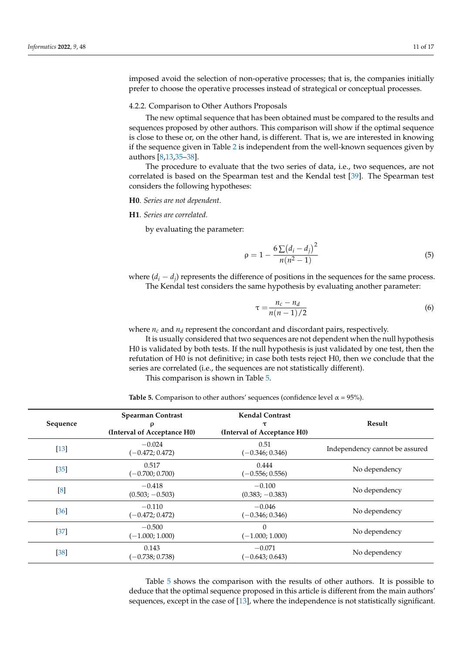imposed avoid the selection of non-operative processes; that is, the companies initially prefer to choose the operative processes instead of strategical or conceptual processes.

#### 4.2.2. Comparison to Other Authors Proposals

The new optimal sequence that has been obtained must be compared to the results and sequences proposed by other authors. This comparison will show if the optimal sequence is close to these or, on the other hand, is different. That is, we are interested in knowing if the sequence given in Table [2](#page-8-0) is independent from the well-known sequences given by authors [\[8](#page-15-4)[,13](#page-16-2)[,35–](#page-16-23)[38\]](#page-16-24).

The procedure to evaluate that the two series of data, i.e., two sequences, are not correlated is based on the Spearman test and the Kendal test [\[39\]](#page-16-25). The Spearman test considers the following hypotheses:

## **H0**. *Series are not dependent.*

## **H1**. *Series are correlated.*

by evaluating the parameter:

$$
\rho = 1 - \frac{6\sum (d_i - d_j)^2}{n(n^2 - 1)}\tag{5}
$$

where  $(d_i - d_j)$  represents the difference of positions in the sequences for the same process. The Kendal test considers the same hypothesis by evaluating another parameter:

$$
\tau = \frac{n_c - n_d}{n(n-1)/2} \tag{6}
$$

where  $n_c$  and  $n_d$  represent the concordant and discordant pairs, respectively.

It is usually considered that two sequences are not dependent when the null hypothesis H0 is validated by both tests. If the null hypothesis is just validated by one test, then the refutation of H0 is not definitive; in case both tests reject H0, then we conclude that the series are correlated (i.e., the sequences are not statistically different).

This comparison is shown in Table [5.](#page-10-0)

<span id="page-10-0"></span>**Table 5.** Comparison to other authors' sequences (confidence level  $\alpha = 95\%$ ).

| Sequence | <b>Spearman Contrast</b><br>ρ<br>(Interval of Acceptance H0) | <b>Kendal Contrast</b><br>τ<br>(Interval of Acceptance H0) | Result                         |
|----------|--------------------------------------------------------------|------------------------------------------------------------|--------------------------------|
| $[13]$   | $-0.024$<br>0.51<br>$(-0.472; 0.472)$<br>$(-0.346; 0.346)$   |                                                            | Independency cannot be assured |
| $[35]$   | 0.517<br>0.444<br>$(-0.700; 0.700)$<br>$(-0.556; 0.556)$     |                                                            | No dependency                  |
| [8]      | $-0.418$<br>$(0.503; -0.503)$                                | $-0.100$<br>$(0.383; -0.383)$                              | No dependency                  |
| [36]     | $-0.110$<br>$(-0.472; 0.472)$                                | $-0.046$<br>$(-0.346; 0.346)$                              | No dependency                  |
| $[37]$   | $-0.500$<br>$(-1.000; 1.000)$                                | $\Omega$<br>$(-1.000; 1.000)$                              | No dependency                  |
| $[38]$   | 0.143<br>$(-0.738; 0.738)$                                   | $-0.071$<br>$(-0.643; 0.643)$                              | No dependency                  |

Table [5](#page-10-0) shows the comparison with the results of other authors. It is possible to deduce that the optimal sequence proposed in this article is different from the main authors' sequences, except in the case of [\[13\]](#page-16-2), where the independence is not statistically significant.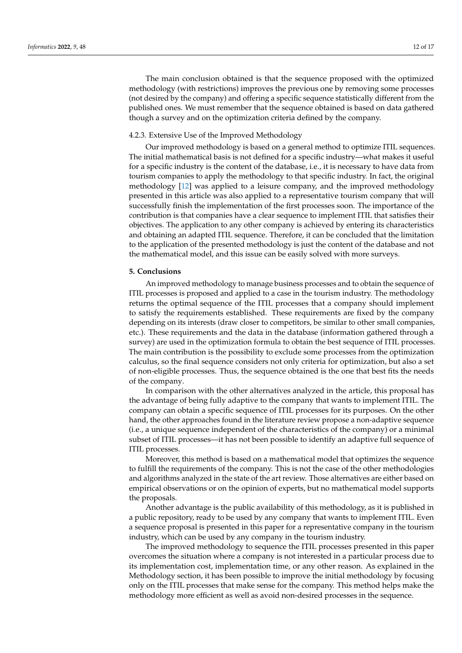The main conclusion obtained is that the sequence proposed with the optimized methodology (with restrictions) improves the previous one by removing some processes (not desired by the company) and offering a specific sequence statistically different from the published ones. We must remember that the sequence obtained is based on data gathered though a survey and on the optimization criteria defined by the company.

## 4.2.3. Extensive Use of the Improved Methodology

Our improved methodology is based on a general method to optimize ITIL sequences. The initial mathematical basis is not defined for a specific industry—what makes it useful for a specific industry is the content of the database, i.e., it is necessary to have data from tourism companies to apply the methodology to that specific industry. In fact, the original methodology [\[12\]](#page-16-0) was applied to a leisure company, and the improved methodology presented in this article was also applied to a representative tourism company that will successfully finish the implementation of the first processes soon. The importance of the contribution is that companies have a clear sequence to implement ITIL that satisfies their objectives. The application to any other company is achieved by entering its characteristics and obtaining an adapted ITIL sequence. Therefore, it can be concluded that the limitation to the application of the presented methodology is just the content of the database and not the mathematical model, and this issue can be easily solved with more surveys.

## **5. Conclusions**

An improved methodology to manage business processes and to obtain the sequence of ITIL processes is proposed and applied to a case in the tourism industry. The methodology returns the optimal sequence of the ITIL processes that a company should implement to satisfy the requirements established. These requirements are fixed by the company depending on its interests (draw closer to competitors, be similar to other small companies, etc.). These requirements and the data in the database (information gathered through a survey) are used in the optimization formula to obtain the best sequence of ITIL processes. The main contribution is the possibility to exclude some processes from the optimization calculus, so the final sequence considers not only criteria for optimization, but also a set of non-eligible processes. Thus, the sequence obtained is the one that best fits the needs of the company.

In comparison with the other alternatives analyzed in the article, this proposal has the advantage of being fully adaptive to the company that wants to implement ITIL. The company can obtain a specific sequence of ITIL processes for its purposes. On the other hand, the other approaches found in the literature review propose a non-adaptive sequence (i.e., a unique sequence independent of the characteristics of the company) or a minimal subset of ITIL processes—it has not been possible to identify an adaptive full sequence of ITIL processes.

Moreover, this method is based on a mathematical model that optimizes the sequence to fulfill the requirements of the company. This is not the case of the other methodologies and algorithms analyzed in the state of the art review. Those alternatives are either based on empirical observations or on the opinion of experts, but no mathematical model supports the proposals.

Another advantage is the public availability of this methodology, as it is published in a public repository, ready to be used by any company that wants to implement ITIL. Even a sequence proposal is presented in this paper for a representative company in the tourism industry, which can be used by any company in the tourism industry.

The improved methodology to sequence the ITIL processes presented in this paper overcomes the situation where a company is not interested in a particular process due to its implementation cost, implementation time, or any other reason. As explained in the Methodology section, it has been possible to improve the initial methodology by focusing only on the ITIL processes that make sense for the company. This method helps make the methodology more efficient as well as avoid non-desired processes in the sequence.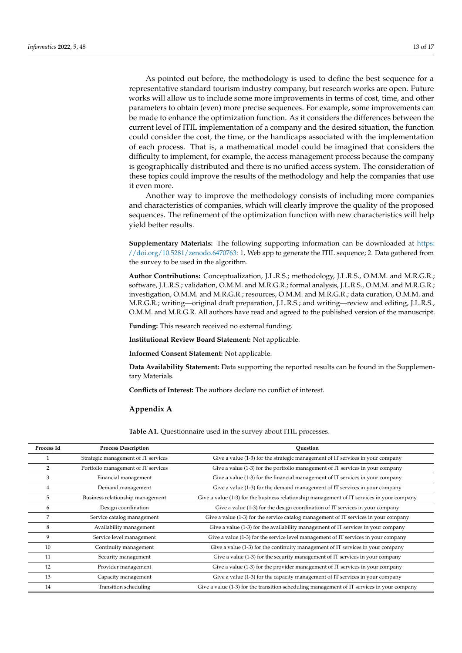As pointed out before, the methodology is used to define the best sequence for a representative standard tourism industry company, but research works are open. Future works will allow us to include some more improvements in terms of cost, time, and other parameters to obtain (even) more precise sequences. For example, some improvements can be made to enhance the optimization function. As it considers the differences between the current level of ITIL implementation of a company and the desired situation, the function could consider the cost, the time, or the handicaps associated with the implementation of each process. That is, a mathematical model could be imagined that considers the difficulty to implement, for example, the access management process because the company is geographically distributed and there is no unified access system. The consideration of these topics could improve the results of the methodology and help the companies that use it even more.

Another way to improve the methodology consists of including more companies and characteristics of companies, which will clearly improve the quality of the proposed sequences. The refinement of the optimization function with new characteristics will help yield better results.

**Supplementary Materials:** The following supporting information can be downloaded at [https:](https://doi.org/10.5281/zenodo.6470763) [//doi.org/10.5281/zenodo.6470763:](https://doi.org/10.5281/zenodo.6470763) 1. Web app to generate the ITIL sequence; 2. Data gathered from the survey to be used in the algorithm.

**Author Contributions:** Conceptualization, J.L.R.S.; methodology, J.L.R.S., O.M.M. and M.R.G.R.; software, J.L.R.S.; validation, O.M.M. and M.R.G.R.; formal analysis, J.L.R.S., O.M.M. and M.R.G.R.; investigation, O.M.M. and M.R.G.R.; resources, O.M.M. and M.R.G.R.; data curation, O.M.M. and M.R.G.R.; writing—original draft preparation, J.L.R.S.; and writing—review and editing, J.L.R.S., O.M.M. and M.R.G.R. All authors have read and agreed to the published version of the manuscript.

**Funding:** This research received no external funding.

**Institutional Review Board Statement:** Not applicable.

**Informed Consent Statement:** Not applicable.

**Data Availability Statement:** Data supporting the reported results can be found in the Supplementary Materials.

**Conflicts of Interest:** The authors declare no conflict of interest.

#### **Appendix A**

**Table A1.** Questionnaire used in the survey about ITIL processes.

| Process Id | <b>Process Description</b>          | Ouestion                                                                                     |
|------------|-------------------------------------|----------------------------------------------------------------------------------------------|
|            | Strategic management of IT services | Give a value (1-3) for the strategic management of IT services in your company               |
| 2          | Portfolio management of IT services | Give a value (1-3) for the portfolio management of IT services in your company               |
| 3          | Financial management                | Give a value (1-3) for the financial management of IT services in your company               |
| 4          | Demand management                   | Give a value $(1-3)$ for the demand management of $\Pi$ services in your company             |
| 5          | Business relationship management    | Give a value $(1-3)$ for the business relationship management of IT services in your company |
| 6          | Design coordination                 | Give a value (1-3) for the design coordination of IT services in your company                |
| 7          | Service catalog management          | Give a value (1-3) for the service catalog management of IT services in your company         |
| 8          | Availability management             | Give a value (1-3) for the availability management of IT services in your company            |
| 9          | Service level management            | Give a value (1-3) for the service level management of IT services in your company           |
| 10         | Continuity management               | Give a value $(1-3)$ for the continuity management of IT services in your company            |
| 11         | Security management                 | Give a value (1-3) for the security management of IT services in your company                |
| 12         | Provider management                 | Give a value $(1-3)$ for the provider management of $IT$ services in your company            |
| 13         | Capacity management                 | Give a value (1-3) for the capacity management of IT services in your company                |
| 14         | Transition scheduling               | Give a value (1-3) for the transition scheduling management of IT services in your company   |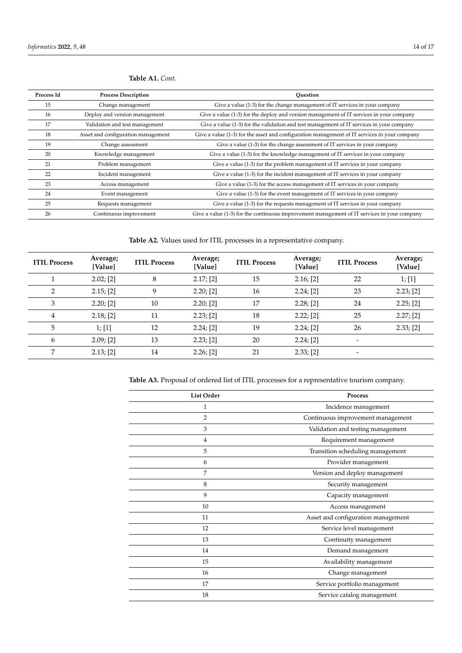| Process Id | <b>Process Description</b>         | Ouestion                                                                                      |
|------------|------------------------------------|-----------------------------------------------------------------------------------------------|
| 15         | Change management                  | Give a value (1-3) for the change management of IT services in your company                   |
| 16         | Deploy and version management      | Give a value (1-3) for the deploy and version management of IT services in your company       |
| 17         | Validation and test management     | Give a value (1-3) for the validation and test management of IT services in your company      |
| 18         | Asset and configuration management | Give a value (1-3) for the asset and configuration management of IT services in your company  |
| 19         | Change assessment                  | Give a value (1-3) for the change assessment of IT services in your company                   |
| 20         | Knowledge management               | Give a value (1-3) for the knowledge management of IT services in your company                |
| 21         | Problem management                 | Give a value (1-3) for the problem management of IT services in your company                  |
| 22         | Incident management                | Give a value (1-3) for the incident management of IT services in your company                 |
| 23         | Access management                  | Give a value (1-3) for the access management of IT services in your company                   |
| 24         | Event management                   | Give a value (1-3) for the event management of IT services in your company                    |
| 25         | Requests management                | Give a value (1-3) for the requests management of IT services in your company                 |
| 26         | Continuous improvement             | Give a value $(1-3)$ for the continuous improvement management of IT services in your company |

<span id="page-13-0"></span>**Table A1.** *Cont.*

<span id="page-13-1"></span>**Table A2.** Values used for ITIL processes in a representative company.

| <b>ITIL Process</b> | Average;<br>[Value] | <b>ITIL Process</b> | Average;<br>[Value] | <b>ITIL Process</b> | Average;<br>[Value] | <b>ITIL Process</b>      | Average;<br>[Value] |
|---------------------|---------------------|---------------------|---------------------|---------------------|---------------------|--------------------------|---------------------|
|                     | 2.02; [2]           | 8                   | 2.17; [2]           | 15                  | $2.16;$ [2]         | 22                       | 1; [1]              |
| 2                   | 2.15; [2]           | 9                   | 2.20; [2]           | 16                  | 2.24; [2]           | 23                       | 2.23; [2]           |
| 3                   | 2.20; [2]           | 10                  | 2.20; [2]           | 17                  | 2.28; [2]           | 24                       | 2.25; [2]           |
| $\overline{4}$      | 2.18; [2]           | 11                  | 2.23; [2]           | 18                  | 2.22; [2]           | 25                       | 2.27; [2]           |
| 5                   | 1; [1]              | 12                  | 2.24; [2]           | 19                  | 2.24; [2]           | 26                       | 2.33; [2]           |
| 6                   | 2.09; [2]           | 13                  | 2.23; [2]           | 20                  | 2.24; [2]           |                          |                     |
| 7                   | 2.13; [2]           | 14                  | 2.26; [2]           | 21                  | 2.33; [2]           | $\overline{\phantom{0}}$ |                     |

<span id="page-13-2"></span>**Table A3.** Proposal of ordered list of ITIL processes for a representative tourism company.

| <b>List Order</b> | Process                            |  |  |
|-------------------|------------------------------------|--|--|
| 1                 | Incidence management               |  |  |
| 2                 | Continuous improvement management  |  |  |
| 3                 | Validation and testing management  |  |  |
| 4                 | Requirement management             |  |  |
| 5                 | Transition scheduling management   |  |  |
| 6                 | Provider management                |  |  |
| 7                 | Version and deploy management      |  |  |
| 8                 | Security management                |  |  |
| 9                 | Capacity management                |  |  |
| 10                | Access management                  |  |  |
| 11                | Asset and configuration management |  |  |
| 12                | Service level management           |  |  |
| 13                | Continuity management              |  |  |
| 14                | Demand management                  |  |  |
| 15                | Availability management            |  |  |
| 16                | Change management                  |  |  |
| 17                | Service portfolio management       |  |  |
| 18                | Service catalog management         |  |  |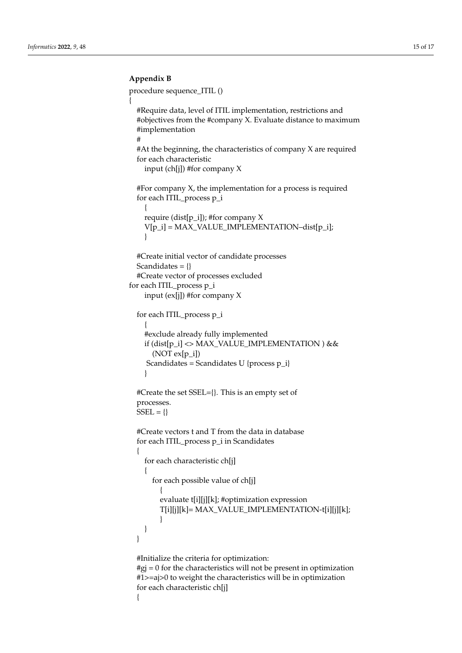# <span id="page-14-0"></span>**Appendix B**

procedure sequence\_ITIL ()

```
{
  #Require data, level of ITIL implementation, restrictions and
  #objectives from the #company X. Evaluate distance to maximum
  #implementation
  #
  #At the beginning, the characteristics of company X are required
  for each characteristic
    input (ch[j]) #for company X
  #For company X, the implementation for a process is required
  for each ITIL_process p_i
    {
    require (dist[p_i]); #for company X
    V[p_i] = MAX_VALUE_IMPLEMENTATION–dist[p_i];
    }
  #Create initial vector of candidate processes
  Scandidates = {}
  #Create vector of processes excluded
for each ITIL_process p_i
    input (ex[j]) #for company X
  for each ITIL_process p_i
    {
    #exclude already fully implemented
    if (dist[p_i] <> MAX_VALUE_IMPLEMENTATION ) &&
      (NOT ex[p_i])Scandidates = Scandidates U {process p_i}
    }
  #Create the set SSEL={}. This is an empty set of
  processes.
  SSEL = \{\}#Create vectors t and T from the data in database
  for each ITIL_process p_i in Scandidates
  {
    for each characteristic ch[j]
    {
      for each possible value of ch[j]
         {
         evaluate t[i][j][k]; #optimization expression
         T[i][j][k]= MAX_VALUE_IMPLEMENTATION-t[i][j][k];
         }
    }
  }
  #Initialize the criteria for optimization:
  #gj = 0 for the characteristics will not be present in optimization
  #1>=aj>0 to weight the characteristics will be in optimization
  for each characteristic ch[j]
  {
```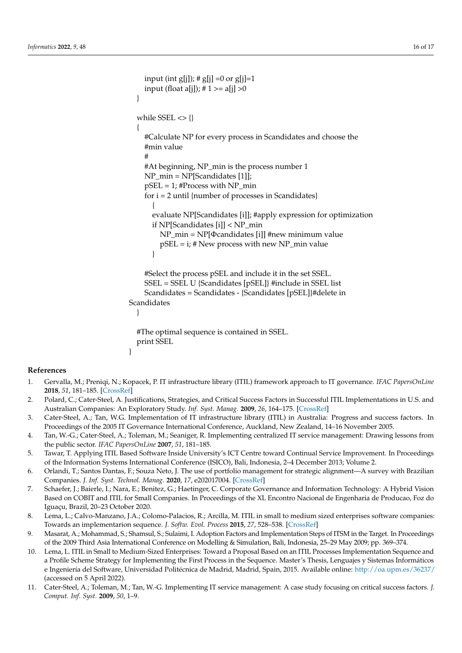```
input (int g[j]); # g[j] =0 or g[j]=1
    input (float a[j]); # 1 > = a[j] > 0
  }
  while SSEL \ll \{\}{
    #Calculate NP for every process in Scandidates and choose the
    #min value
    #
    #At beginning, NP_min is the process number 1
    NP_min = NP[Scandidates [1]];
    pSEL = 1; #Process with NP_min
    for i = 2 until {number of processes in Scandidates}
       {
      evaluate NP[Scandidates [i]]; #apply expression for optimization
      if NP[Scandidates [i]] < NP_min
         NP_min = NP[Φcandidates [i]] #new minimum value
         pSEL = i; # New process with new NP_min value
      }
    #Select the process pSEL and include it in the set SSEL.
    SSEL = SSEL U {Scandidates [pSEL]} #include in SSEL list
    Scandidates = Scandidates - {Scandidates [pSEL]}#delete in
Scandidates
  }
  #The optimal sequence is contained in SSEL.
  print SSEL
}
```
# **References**

- <span id="page-15-0"></span>1. Gervalla, M.; Preniqi, N.; Kopacek, P. IT infrastructure library (ITIL) framework approach to IT governance. *IFAC PapersOnLine* **2018**, *51*, 181–185. [\[CrossRef\]](http://doi.org/10.1016/j.ifacol.2018.11.283)
- <span id="page-15-1"></span>2. Polard, C.; Cater-Steel, A. Justifications, Strategies, and Critical Success Factors in Successful ITIL Implementations in U.S. and Australian Companies: An Exploratory Study. *Inf. Syst. Manag.* **2009**, *26*, 164–175. [\[CrossRef\]](http://doi.org/10.1080/10580530902797540)
- <span id="page-15-2"></span>3. Cater-Steel, A.; Tan, W.G. Implementation of IT infrastructure library (ITIL) in Australia: Progress and success factors. In Proceedings of the 2005 IT Governance International Conference, Auckland, New Zealand, 14–16 November 2005.
- <span id="page-15-8"></span>4. Tan, W.-G.; Cater-Steel, A.; Toleman, M.; Seaniger, R. Implementing centralized IT service management: Drawing lessons from the public sector. *IFAC PapersOnLine* **2007**, *51*, 181–185.
- 5. Tawar, T. Applying ITIL Based Software Inside University's ICT Centre toward Continual Service Improvement. In Proceedings of the Information Systems International Conference (ISICO), Bali, Indonesia, 2–4 December 2013; Volume 2.
- <span id="page-15-5"></span>6. Orlandi, T.; Santos Dantas, F.; Souza Neto, J. The use of portfolio management for strategic alignment—A survey with Brazilian Companies. *J. Inf. Syst. Technol. Manag.* **2020**, *17*, e202017004. [\[CrossRef\]](http://doi.org/10.4301/S1807-1775202017004)
- <span id="page-15-3"></span>7. Schaefer, J.; Baierle, I.; Nara, E.; Benitez, G.; Haetinger, C. Corporate Governance and Information Technology: A Hybrid Vision Based on COBIT and ITIL for Small Companies. In Proceedings of the XL Encontro Nacional de Engenharia de Producao, Foz do Iguaçu, Brazil, 20–23 October 2020.
- <span id="page-15-4"></span>8. Lema, L.; Calvo-Manzano, J.A.; Colomo-Palacios, R.; Arcilla, M. ITIL in small to medium sized enterprises software companies: Towards an implementarion sequence. *J. Softw. Evol. Process* **2015**, *27*, 528–538. [\[CrossRef\]](http://doi.org/10.1002/smr.1727)
- <span id="page-15-6"></span>9. Masarat, A.; Mohammad, S.; Shamsul, S.; Sulaimi, I. Adoption Factors and Implementation Steps of ITSM in the Target. In Proceedings of the 2009 Third Asia International Conference on Modelling & Simulation, Bali, Indonesia, 25–29 May 2009; pp. 369–374.
- 10. Lema, L. ITIL in Small to Medium-Sized Enterprises: Toward a Proposal Based on an ITIL Processes Implementation Sequence and a Profile Scheme Strategy for Implementing the First Process in the Sequence. Master's Thesis, Lenguajes y Sistemas Informáticos e Ingeniería del Software, Universidad Politécnica de Madrid, Madrid, Spain, 2015. Available online: <http://oa.upm.es/36237/> (accessed on 5 April 2022).
- <span id="page-15-7"></span>11. Cater-Steel, A.; Toleman, M.; Tan, W.-G. Implementing IT service management: A case study focusing on critical success factors. *J. Comput. Inf. Syst.* **2009**, *50*, 1–9.